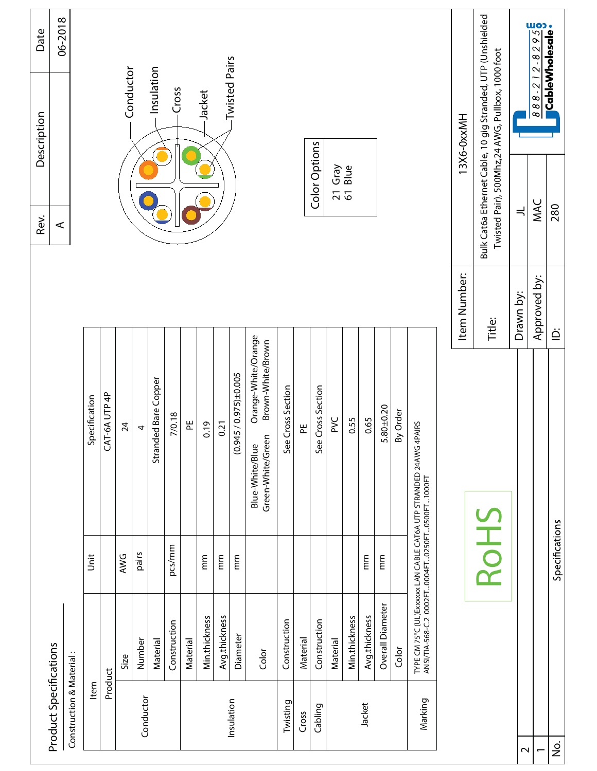|                                       |                          |                      |                          |                                                                                                                       |                               | Rev.                                                        | Description                                      | Date    |
|---------------------------------------|--------------------------|----------------------|--------------------------|-----------------------------------------------------------------------------------------------------------------------|-------------------------------|-------------------------------------------------------------|--------------------------------------------------|---------|
|                                       | Product Specifications   |                      |                          |                                                                                                                       |                               | $\prec$                                                     |                                                  | 06-2018 |
|                                       | Construction & Material: |                      |                          |                                                                                                                       |                               |                                                             |                                                  |         |
|                                       | Item                     |                      | Jnit                     | Specification                                                                                                         |                               |                                                             |                                                  |         |
|                                       | Product                  |                      |                          | CAT-6A UTP 4P                                                                                                         |                               |                                                             |                                                  |         |
|                                       |                          | Size                 | AWG                      | 24                                                                                                                    |                               |                                                             | Conductor                                        |         |
|                                       | Conductor                | Number               | pairs                    | 4                                                                                                                     |                               |                                                             |                                                  |         |
|                                       |                          | Material             |                          | Stranded Bare Copper                                                                                                  |                               |                                                             | - Insulation                                     |         |
|                                       |                          | Construction         | pcs/mm                   | 7/0.18                                                                                                                |                               |                                                             | -Cross                                           |         |
|                                       |                          | Material             |                          | 뿐                                                                                                                     |                               |                                                             |                                                  |         |
|                                       |                          | <b>Min.thickness</b> | mm                       | 0.19                                                                                                                  |                               |                                                             | Jacket                                           |         |
|                                       |                          | Avg.thickness        | mm                       | 0.21                                                                                                                  |                               |                                                             |                                                  |         |
|                                       | Insulation               | Diameter             | $\widetilde{\mathsf{m}}$ | $(0.945 / 0.975) \pm 0.005$                                                                                           |                               |                                                             | <b>Twisted Pairs</b>                             |         |
|                                       |                          | Color                |                          | Orange-White/Orange<br>Brown-White/Brown<br>Green-White/Green<br>Blue-White/Blue                                      |                               |                                                             |                                                  |         |
|                                       | Twisting                 | Construction         |                          | Cross Section<br>See                                                                                                  |                               |                                                             |                                                  |         |
|                                       | Cross                    | Material             |                          | 씬                                                                                                                     |                               |                                                             |                                                  |         |
|                                       | Cabling                  | Construction         |                          | Cross Section<br>See                                                                                                  |                               | Color Options                                               |                                                  |         |
|                                       |                          | Material             |                          | PVC                                                                                                                   |                               | Gray<br>$\overline{5}$                                      |                                                  |         |
|                                       |                          | Min.thickness        |                          | 0.55                                                                                                                  |                               | Blue                                                        |                                                  |         |
|                                       | Jacket                   | Avg.thickness        | $\widetilde{\mathsf{E}}$ | 0.65                                                                                                                  |                               |                                                             |                                                  |         |
|                                       |                          | Overall Diameter     | mm                       | $.80 + 0.20$<br>ഗ                                                                                                     |                               |                                                             |                                                  |         |
|                                       |                          | Color                |                          | By Order                                                                                                              |                               |                                                             |                                                  |         |
|                                       | Marking                  |                      |                          | TYPE CM 75°C (UL) Exxxxx LAN CABLE CAT6A UTP STRANDED 24AWG 4PAIRS<br>ANSI/TIA-568-C.2_0002FT0004FT0250FT0500FT1000FT |                               |                                                             |                                                  |         |
|                                       |                          |                      |                          |                                                                                                                       | Item Number:                  |                                                             | 13X6-0xxMH                                       |         |
|                                       |                          |                      | RoHS                     |                                                                                                                       | Title:                        | Bulk Cat6a Ethernet Cable, 10 gig Stranded, UTP (Unshielded | Twisted Pair), 500Mhz,24 AWG, Pullbox, 1000 foot |         |
| $\boldsymbol{\sim}$                   |                          |                      |                          |                                                                                                                       | Drawn by:                     | $\Rightarrow$                                               |                                                  |         |
| $\overline{ }$                        |                          |                      |                          |                                                                                                                       | Approved by:                  | MAC                                                         | $\frac{888.212.82956}{\text{CableWholesale}}$    |         |
| $\frac{\dot{\mathsf{S}}}{\mathsf{Z}}$ |                          |                      | Specifications           |                                                                                                                       | $\dot{\underline{\triangle}}$ | 280                                                         |                                                  |         |